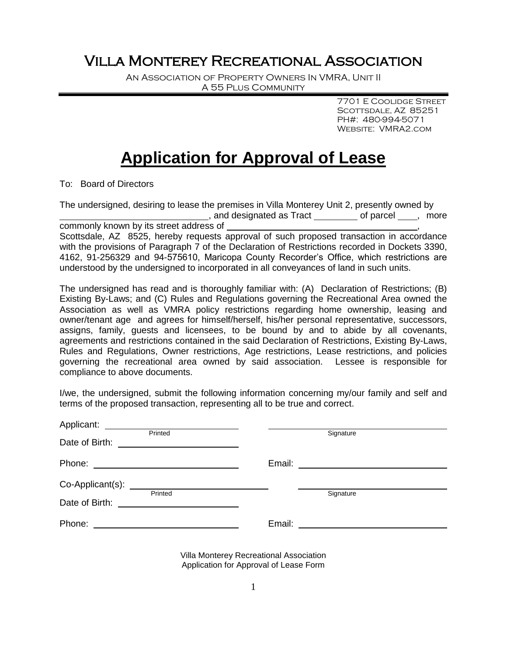## Villa Monterey Recreational Association

An Association of Property Owners In VMRA, Unit II A 55 Plus Community

> 7701 E Coolidge Street SCOTTSDALE, AZ 85251 PH#: 480-994-5071 Website: VMRA2.com

## **Application for Approval of Lease**

To: Board of Directors

The undersigned, desiring to lease the premises in Villa Monterey Unit 2, presently owned by , and designated as Tract by container of parcel and designated as Tract commonly known by its street address of

Scottsdale, AZ 8525, hereby requests approval of such proposed transaction in accordance with the provisions of Paragraph 7 of the Declaration of Restrictions recorded in Dockets 3390, 4162, 91-256329 and 94-575610, Maricopa County Recorder's Office, which restrictions are understood by the undersigned to incorporated in all conveyances of land in such units.

The undersigned has read and is thoroughly familiar with: (A) Declaration of Restrictions; (B) Existing By-Laws; and (C) Rules and Regulations governing the Recreational Area owned the Association as well as VMRA policy restrictions regarding home ownership, leasing and owner/tenant age and agrees for himself/herself, his/her personal representative, successors, assigns, family, guests and licensees, to be bound by and to abide by all covenants, agreements and restrictions contained in the said Declaration of Restrictions, Existing By-Laws, Rules and Regulations, Owner restrictions, Age restrictions, Lease restrictions, and policies governing the recreational area owned by said association. Lessee is responsible for compliance to above documents.

I/we, the undersigned, submit the following information concerning my/our family and self and terms of the proposed transaction, representing all to be true and correct.

| Date of Birth: | Printed<br><u> 1989 - Andrea Andrew Maria (h. 1989).</u> |        | Signature                        |
|----------------|----------------------------------------------------------|--------|----------------------------------|
|                |                                                          |        | Email: _________________________ |
|                | Printed                                                  |        | Signature                        |
|                |                                                          |        |                                  |
| Phone:         |                                                          | Email: |                                  |

Villa Monterey Recreational Association Application for Approval of Lease Form